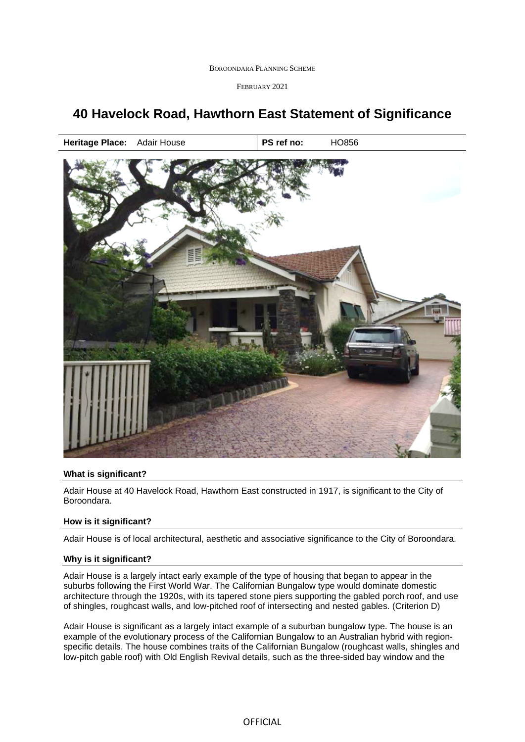BOROONDARA PLANNING SCHEME

FEBRUARY 2021

# **40 Havelock Road, Hawthorn East Statement of Significance**

**Heritage Place:** Adair House **PS ref no:** HO856



## **What is significant?**

Adair House at 40 Havelock Road, Hawthorn East constructed in 1917, is significant to the City of Boroondara.

## **How is it significant?**

Adair House is of local architectural, aesthetic and associative significance to the City of Boroondara.

#### **Why is it significant?**

Adair House is a largely intact early example of the type of housing that began to appear in the suburbs following the First World War. The Californian Bungalow type would dominate domestic architecture through the 1920s, with its tapered stone piers supporting the gabled porch roof, and use of shingles, roughcast walls, and low-pitched roof of intersecting and nested gables. (Criterion D)

Adair House is significant as a largely intact example of a suburban bungalow type. The house is an example of the evolutionary process of the Californian Bungalow to an Australian hybrid with regionspecific details. The house combines traits of the Californian Bungalow (roughcast walls, shingles and low-pitch gable roof) with Old English Revival details, such as the three-sided bay window and the